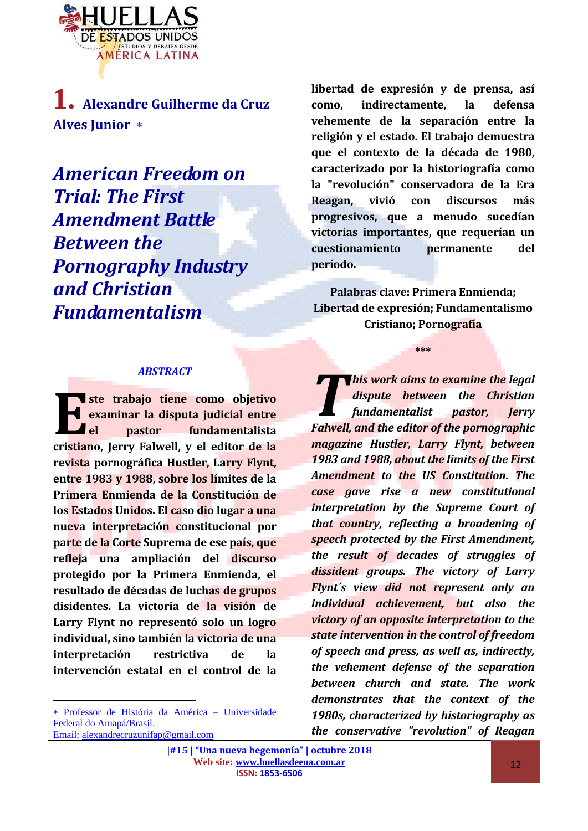

**1. Alexandre Guilherme da Cruz Alves Junior**

*American Freedom on Trial: The First Amendment Battle Between the Pornography Industry and Christian Fundamentalism*

#### *ABSTRACT*

**ste trabajo tiene como objetivo examinar la disputa judicial entre el pastor fundamentalista cristiano, Jerry Falwell, y el editor de la revista pornográfica Hustler, Larry Flynt, entre 1983 y 1988, sobre los límites de la Primera Enmienda de la Constitución de los Estados Unidos. El caso dio lugar a una nueva interpretación constitucional por parte de la Corte Suprema de ese país, que refleja una ampliación del discurso protegido por la Primera Enmienda, el resultado de décadas de luchas de grupos disidentes. La victoria de la visión de Larry Flynt no representó solo un logro individual, sino también la victoria de una interpretación restrictiva de la intervención estatal en el control de la E**

 Professor de História da América – Universidade Federal do Amapá/Brasil. Email: [alexandrecruzunifap@gmail.com](mailto:alexandrecruzunifap@gmail.com) 

 $\ddot{\phantom{a}}$ 

**libertad de expresión y de prensa, así como, indirectamente, la defensa vehemente de la separación entre la religión y el estado. El trabajo demuestra que el contexto de la década de 1980, caracterizado por la historiografía como la "revolución" conservadora de la Era Reagan, vivió con discursos más progresivos, que a menudo sucedían victorias importantes, que requerían un cuestionamiento permanente del período.** 

**Palabras clave: Primera Enmienda; Libertad de expresión; Fundamentalismo Cristiano; Pornografía**

**\*\*\***

*his work aims to examine the legal dispute between the Christian fundamentalist pastor, Jerry Falwell, and the editor of the pornographic*<br>*Falwell, and the editor of the pornographic magazine Hustler, Larry Flynt, between 1983 and 1988, about the limits of the First Amendment to the US Constitution. The case gave rise a new constitutional interpretation by the Supreme Court of that country, reflecting a broadening of speech protected by the First Amendment, the result of decades of struggles of dissident groups. The victory of Larry Flynt´s view did not represent only an individual achievement, but also the victory of an opposite interpretation to the state intervention in the control of freedom of speech and press, as well as, indirectly, the vehement defense of the separation between church and state. The work demonstrates that the context of the 1980s, characterized by historiography as the conservative "revolution" of Reagan* 

**|#15 | "Una nueva hegemonía" | octubre 2018 Web site[: www.huellasdeeua.com.ar](http://www.huellasdeeua.com.ar/) ISSN: 1853-6506**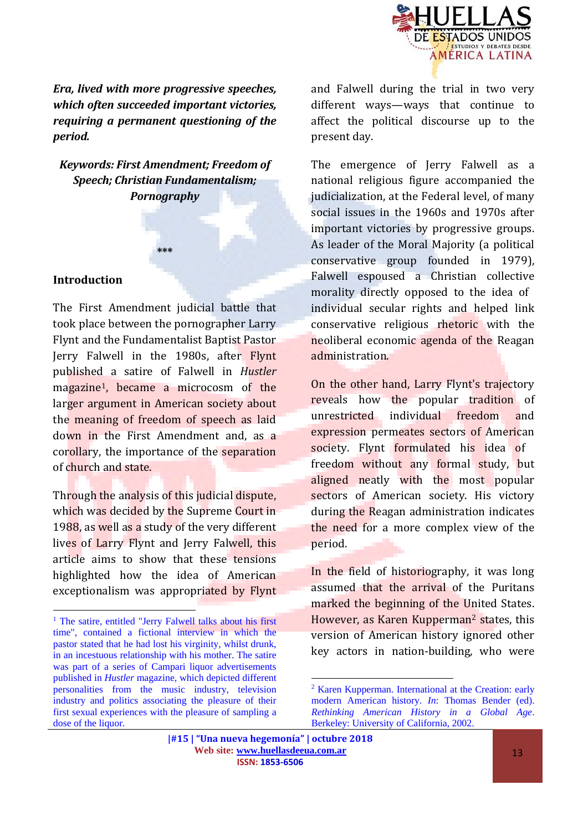

*Era, lived with more progressive speeches, which often succeeded important victories, requiring a permanent questioning of the period.* 

*Keywords: First Amendment; Freedom of Speech; Christian Fundamentalism; Pornography*

**\*\*\***

### **Introduction**

 $\overline{a}$ 

The First Amendment judicial battle that took place between the pornographer Larry Flynt and the Fundamentalist Baptist Pastor Jerry Falwell in the 1980s, after Flynt published a satire of Falwell in *Hustler* magazine<sup>1</sup>, became a microcosm of the larger argument in American society about the meaning of freedom of speech as laid down in the First Amendment and, as a corollary, the importance of the separation of church and state.

Through the analysis of this judicial dispute, which was decided by the Supreme Court in 1988, as well as a study of the very different lives of Larry Flynt and Jerry Falwell, this article aims to show that these tensions highlighted how the idea of American exceptionalism was appropriated by Flynt

and Falwell during the trial in two very different ways—ways that continue to affect the political discourse up to the present day.

The emergence of Jerry Falwell as a national religious figure accompanied the judicialization, at the Federal level, of many social issues in the 1960s and 1970s after important victories by progressive groups. As leader of the Moral Majority (a political conservative group founded in 1979), Falwell espoused a Christian collective morality directly opposed to the idea of individual secular rights and helped link conservative religious rhetoric with the neoliberal economic agenda of the Reagan administration.

On the other hand, Larry Flynt's trajectory reveals how the popular tradition of unrestricted individual freedom and expression permeates sectors of American society. Flynt formulated his idea of freedom without any formal study, but aligned neatly with the most popular sectors of American society. His victory during the Reagan administration indicates the need for a more complex view of the period.

In the field of historiography, it was long assumed that the arrival of the Puritans marked the beginning of the United States. However, as Karen Kupperman<sup>2</sup> states, this version of American history ignored other key actors in nation-building, who were

<sup>&</sup>lt;sup>1</sup> The satire, entitled "Jerry Falwell talks about his first time", contained a fictional interview in which the pastor stated that he had lost his virginity, whilst drunk, in an incestuous relationship with his mother. The satire was part of a series of Campari liquor advertisements published in *Hustler* magazine, which depicted different personalities from the music industry, television industry and politics associating the pleasure of their first sexual experiences with the pleasure of sampling a dose of the liquor.

<sup>2</sup> Karen Kupperman. International at the Creation: early modern American history. *In*: Thomas Bender (ed). *Rethinking American History in a Global Age*. Berkeley: University of California, 2002.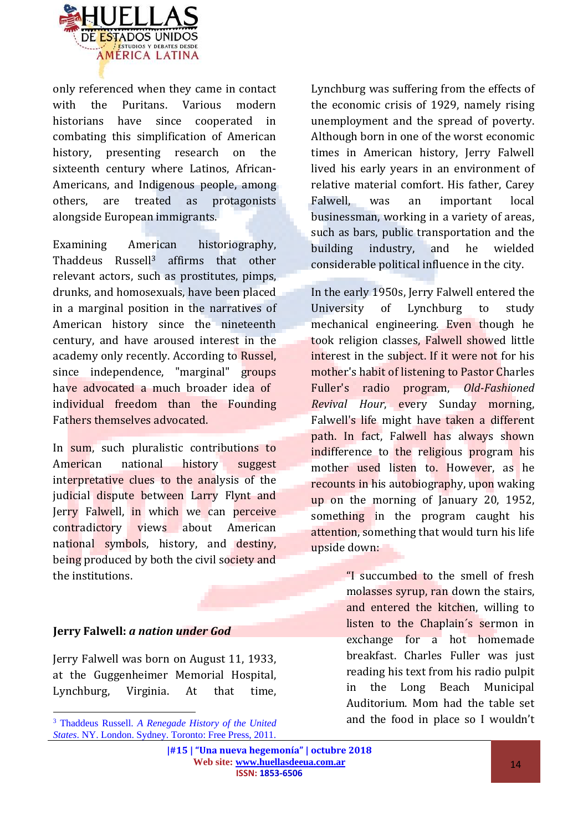

only referenced when they came in contact with the Puritans. Various modern historians have since cooperated in combating this simplification of American history, presenting research on the sixteenth century where Latinos, African-Americans, and Indigenous people, among others, are treated as protagonists alongside European immigrants.

Examining American historiography, Thaddeus Russell<sup>3</sup> affirms that other relevant actors, such as prostitutes, pimps, drunks, and homosexuals, have been placed in a marginal position in the narratives of American history since the nineteenth century, and have aroused interest in the academy only recently. According to Russel, since independence, "marginal" groups have advocated a much broader idea of individual freedom than the Founding Fathers themselves advocated.

In sum, such pluralistic contributions to American national history suggest interpretative clues to the analysis of the judicial dispute between Larry Flynt and Jerry Falwell, in which we can perceive contradictory views about American national symbols, history, and destiny, being produced by both the civil society and the institutions.

Lynchburg was suffering from the effects of the economic crisis of 1929, namely rising unemployment and the spread of poverty. Although born in one of the worst economic times in American history, Jerry Falwell lived his early years in an environment of relative material comfort. His father, Carey Falwell, was an important local businessman, working in a variety of areas, such as bars, public transportation and the building industry, and he wielded considerable political influence in the city.

In the early 1950s, Jerry Falwell entered the University of Lynchburg to study mechanical engineering. Even though he took religion classes, Falwell showed little interest in the subject. If it were not for his mother's habit of listening to Pastor Charles Fuller's radio program, *Old-Fashioned Revival Hour*, every Sunday morning, Falwell's life might have taken a different path. In fact, Falwell has always shown indifference to the religious program his mother used listen to. However, as he recounts in his autobiography, upon waking up on the morning of January 20, 1952, something in the program caught his attention, something that would turn his life upside down:

> "I succumbed to the smell of fresh molasses syrup, ran down the stairs, and entered the kitchen, willing to listen to the Chaplain's sermon in exchange for a hot homemade breakfast. Charles Fuller was just reading his text from his radio pulpit in the Long Beach Municipal Auditorium. Mom had the table set and the food in place so I wouldn't

# **Jerry Falwell:** *a nation under God*

 $\overline{a}$ 

Jerry Falwell was born on August 11, 1933, at the Guggenheimer Memorial Hospital, Lynchburg, Virginia. At that time,

<sup>3</sup> Thaddeus Russell. *A Renegade History of the United States*. NY. London. Sydney. Toronto: Free Press, 2011.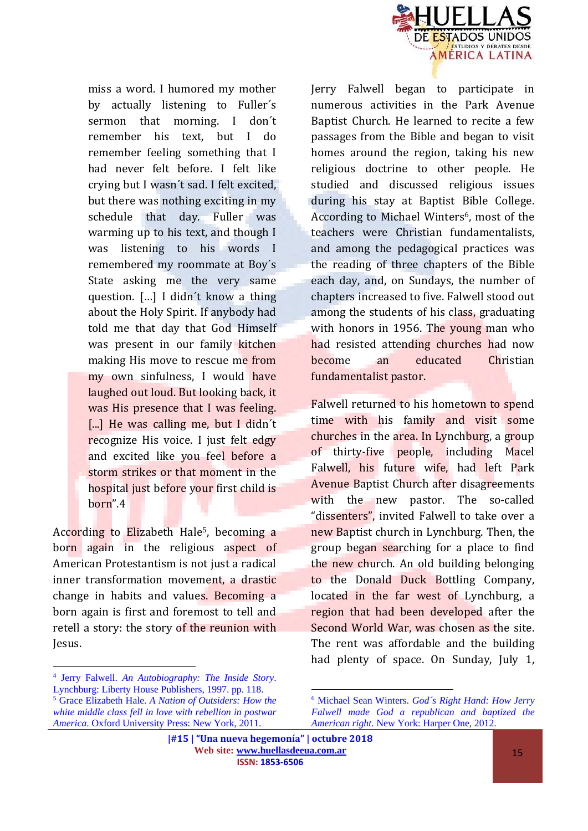

miss a word. I humored my mother by actually listening to Fuller´s sermon that morning. I don´t remember his text, but I do remember feeling something that I had never felt before. I felt like crying but I wasn´t sad. I felt excited, but there was nothing exciting in my schedule that day. Fuller was warming up to his text, and though I was listening to his words I remembered my roommate at Boy´s State asking me the very same question. […] I didn´t know a thing about the Holy Spirit. If anybody had told me that day that God Himself was present in our family kitchen making His move to rescue me from my own sinfulness, I would have laughed out loud. But looking back, it was His presence that I was feeling. [...] He was calling me, but I didn't recognize His voice. I just felt edgy and excited like you feel before a storm strikes or that moment in the hospital just before your first child is horn" 4

According to Elizabeth Hale<sup>5</sup>, becoming a born again in the religious aspect of American Protestantism is not just a radical inner transformation movement, a drastic change in habits and values. Becoming a born again is first and foremost to tell and retell a story: the story of the reunion with Jesus.

 $\ddot{\phantom{a}}$ 

Jerry Falwell began to participate in numerous activities in the Park Avenue Baptist Church. He learned to recite a few passages from the Bible and began to visit homes around the region, taking his new religious doctrine to other people. He studied and discussed religious issues during his stay at Baptist Bible College. According to Michael Winters<sup>6</sup>, most of the teachers were Christian fundamentalists, and among the pedagogical practices was the reading of three chapters of the Bible each day, and, on Sundays, the number of chapters increased to five. Falwell stood out among the students of his class, graduating with honors in 1956. The young man who had resisted attending churches had now become an educated Christian fundamentalist pastor.

Falwell returned to his hometown to spend time with his family and visit some churches in the area. In Lynchburg, a group of thirty-five people, including Macel Falwell, his future wife, had left Park Avenue Baptist Church after disagreements with the new pastor. The so-called "dissenters", invited Falwell to take over a new Baptist church in Lynchburg. Then, the group began searching for a place to find the new church. An old building belonging to the Donald Duck Bottling Company, located in the far west of Lynchburg, a region that had been developed after the Second World War, was chosen as the site. The rent was affordable and the building had plenty of space. On Sunday, July 1,

<sup>4</sup> Jerry Falwell. *An Autobiography: The Inside Story*.

Lynchburg: Liberty House Publishers, 1997. pp. 118. <sup>5</sup> Grace Elizabeth Hale. *A Nation of Outsiders: How the white middle class fell in love with rebellion in postwar America*. Oxford University Press: New York, 2011.

<sup>1</sup> <sup>6</sup> Michael Sean Winters. *God´s Right Hand: How Jerry Falwell made God a republican and baptized the American right*. New York: Harper One, 2012.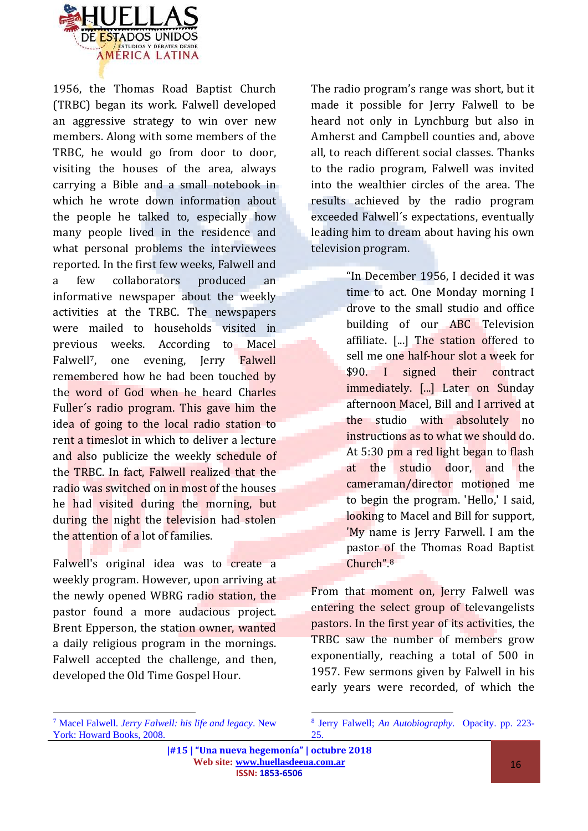

1956, the Thomas Road Baptist Church (TRBC) began its work. Falwell developed an aggressive strategy to win over new members. Along with some members of the TRBC, he would go from door to door, visiting the houses of the area, always carrying a Bible and a small notebook in which he wrote down information about the people he talked to, especially how many people lived in the residence and what personal problems the interviewees reported. In the first few weeks, Falwell and a few collaborators produced an informative newspaper about the weekly activities at the TRBC. The newspapers were mailed to households visited in previous weeks. According to Macel Falwell7, one evening, Jerry Falwell remembered how he had been touched by the word of God when he heard Charles Fuller´s radio program. This gave him the idea of going to the local radio station to rent a timeslot in which to deliver a lecture and also publicize the weekly schedule of the TRBC. In fact, Falwell realized that the radio was switched on in most of the houses he had visited during the morning, but during the night the television had stolen the attention of a lot of families.

Falwell's original idea was to create a weekly program. However, upon arriving at the newly opened WBRG radio station, the pastor found a more audacious project. Brent Epperson, the station owner, wanted a daily religious program in the mornings. Falwell accepted the challenge, and then, developed the Old Time Gospel Hour.

The radio program's range was short, but it made it possible for Jerry Falwell to be heard not only in Lynchburg but also in Amherst and Campbell counties and, above all, to reach different social classes. Thanks to the radio program, Falwell was invited into the wealthier circles of the area. The results achieved by the radio program exceeded Falwell´s expectations, eventually leading him to dream about having his own television program.

> "In December 1956, I decided it was time to act. One Monday morning I drove to the small studio and office building of our ABC Television affiliate. [...] The station offered to sell me one half-hour slot a week for \$90. I signed their contract immediately. [...] Later on Sunday afternoon Macel, Bill and I arrived at the studio with absolutely no instructions as to what we should do. At 5:30 pm a red light began to flash at the studio door, and the cameraman/director motioned me to begin the program. 'Hello,' I said, looking to Macel and Bill for support, 'My name is Jerry Farwell. I am the pastor of the Thomas Road Baptist Church".<sup>8</sup>

From that moment on, Jerry Falwell was entering the select group of televangelists pastors. In the first year of its activities, the TRBC saw the number of members grow exponentially, reaching a total of 500 in 1957. Few sermons given by Falwell in his early years were recorded, of which the

 $\overline{a}$ 

**|#15 | "Una nueva hegemonía" | octubre 2018 Web site[: www.huellasdeeua.com.ar](http://www.huellasdeeua.com.ar/) ISSN: 1853-6506** 

<sup>7</sup> Macel Falwell. *Jerry Falwell: his life and legacy*. New York: Howard Books, 2008.

<sup>8</sup> Jerry Falwell; *An Autobiography.* Opacity. pp. 223- 25.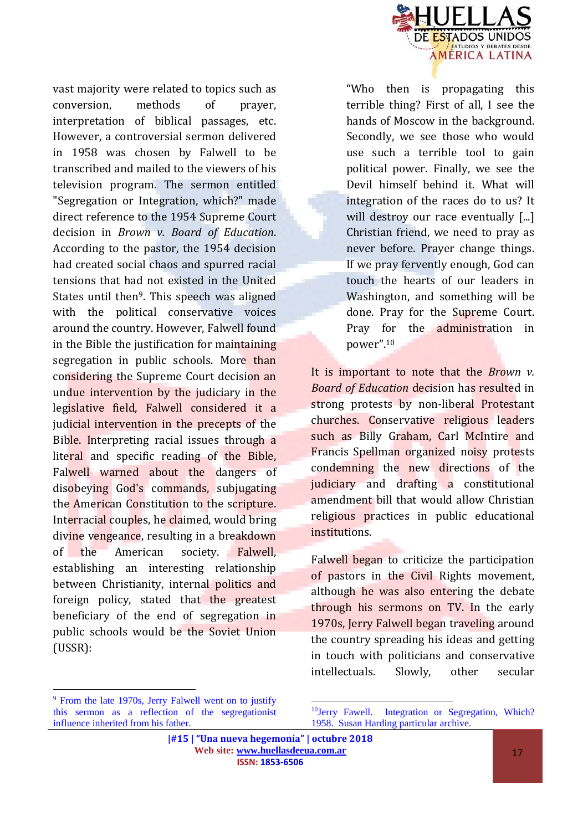

vast majority were related to topics such as conversion, methods of prayer. interpretation of biblical passages, etc. However, a controversial sermon delivered in 1958 was chosen by Falwell to be transcribed and mailed to the viewers of his television program. The sermon entitled "Segregation or Integration, which?" made direct reference to the 1954 Supreme Court decision in *Brown v. Board of Education*. According to the pastor, the 1954 decision had created social chaos and spurred racial tensions that had not existed in the United States until then<sup>9</sup>. This speech was aligned with the political conservative voices around the country. However, Falwell found in the Bible the justification for maintaining segregation in public schools. More than considering the Supreme Court decision an undue intervention by the judiciary in the legislative field, Falwell considered it a judicial intervention in the precepts of the Bible. Interpreting racial issues through a literal and specific reading of the Bible, Falwell warned about the dangers of disobeying God's commands, subjugating the American Constitution to the scripture. Interracial couples, he claimed, would bring divine vengeance, resulting in a breakdown of the American society. Falwell, establishing an interesting relationship between Christianity, internal politics and foreign policy, stated that the greatest beneficiary of the end of segregation in public schools would be the Soviet Union (USSR):

"Who then is propagating this terrible thing? First of all, I see the hands of Moscow in the background. Secondly, we see those who would use such a terrible tool to gain political power. Finally, we see the Devil himself behind it. What will integration of the races do to us? It will destroy our race eventually [...] Christian friend, we need to pray as never before. Prayer change things. If we pray fervently enough, God can touch the hearts of our leaders in Washington, and something will be done. Pray for the Supreme Court. Pray for the administration in power".<sup>10</sup>

It is important to note that the *Brown v. Board of Education* decision has resulted in strong protests by non-liberal Protestant churches. Conservative religious leaders such as Billy Graham, Carl McIntire and Francis Spellman organized noisy protests condemning the new directions of the judiciary and drafting a constitutional amendment bill that would allow Christian religious practices in public educational institutions.

Falwell began to criticize the participation of pastors in the Civil Rights movement, although he was also entering the debate through his sermons on TV. In the early 1970s, Jerry Falwell began traveling around the country spreading his ideas and getting in touch with politicians and conservative intellectuals. Slowly, other secular

 $\overline{a}$ 

 $\overline{a}$ 

<sup>9</sup> From the late 1970s, Jerry Falwell went on to justify this sermon as a reflection of the segregationist influence inherited from his father.

<sup>&</sup>lt;sup>10</sup>Jerry Fawell. Integration or Segregation, Which? 1958. Susan Harding particular archive.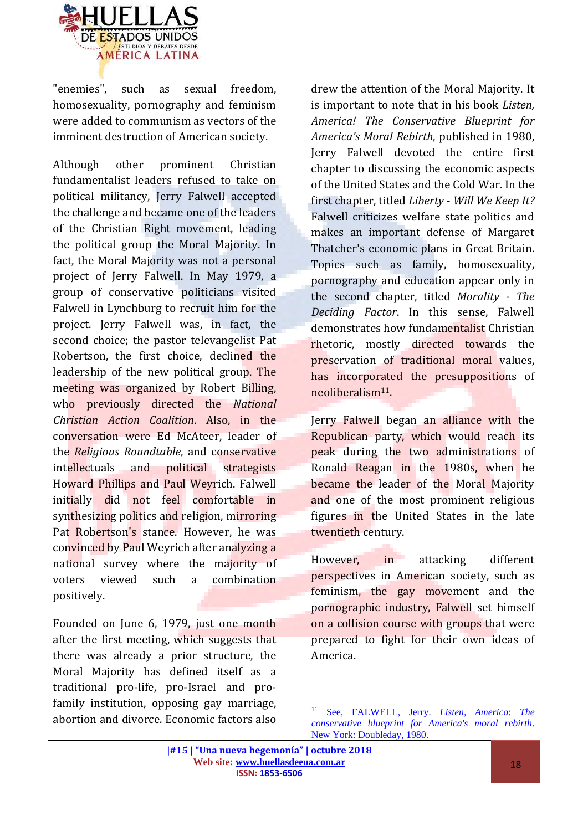

"enemies", such as sexual freedom, homosexuality, pornography and feminism were added to communism as vectors of the imminent destruction of American society.

Although other prominent Christian fundamentalist leaders refused to take on political militancy, Jerry Falwell accepted the challenge and became one of the leaders of the Christian Right movement, leading the political group the Moral Majority. In fact, the Moral Majority was not a personal project of Jerry Falwell. In May 1979, a group of conservative politicians visited Falwell in Lynchburg to recruit him for the project. Jerry Falwell was, in fact, the second choice; the pastor televangelist Pat Robertson, the first choice, declined the leadership of the new political group. The meeting was organized by Robert Billing, who previously directed the *National Christian Action Coalition*. Also, in the conversation were Ed McAteer, leader of the *Religious Roundtable*, and conservative intellectuals and political strategists Howard Phillips and Paul Weyrich. Falwell initially did not feel comfortable in synthesizing politics and religion, mirroring Pat Robertson's stance. However, he was convinced by Paul Weyrich after analyzing a national survey where the majority of voters viewed such a combination positively.

Founded on June 6, 1979, just one month after the first meeting, which suggests that there was already a prior structure, the Moral Majority has defined itself as a traditional pro-life, pro-Israel and profamily institution, opposing gay marriage, abortion and divorce. Economic factors also

drew the attention of the Moral Majority. It is important to note that in his book *Listen, America! The Conservative Blueprint for America's Moral Rebirth*, published in 1980, Jerry Falwell devoted the entire first chapter to discussing the economic aspects of the United States and the Cold War. In the first chapter, titled *Liberty - Will We Keep It?* Falwell criticizes welfare state politics and makes an important defense of Margaret Thatcher's economic plans in Great Britain. Topics such as family, homosexuality, pornography and education appear only in the second chapter, titled *Morality - The Deciding Factor*. In this sense, Falwell demonstrates how fundamentalist Christian rhetoric, mostly directed towards the preservation of traditional moral values, has incorporated the presuppositions of neoliberalism11.

Jerry Falwell began an alliance with the Republican party, which would reach its peak during the two administrations of Ronald Reagan in the 1980s, when he became the leader of the Moral Majority and one of the most prominent religious figures in the United States in the late twentieth century.

However, in attacking different perspectives in American society, such as feminism, the gay movement and the pornographic industry, Falwell set himself on a collision course with groups that were prepared to fight for their own ideas of America.

 $\overline{a}$ 

<sup>11</sup> See, FALWELL, Jerry. *Listen, America*: *The conservative blueprint for America's moral rebirth*. New York: Doubleday, 1980.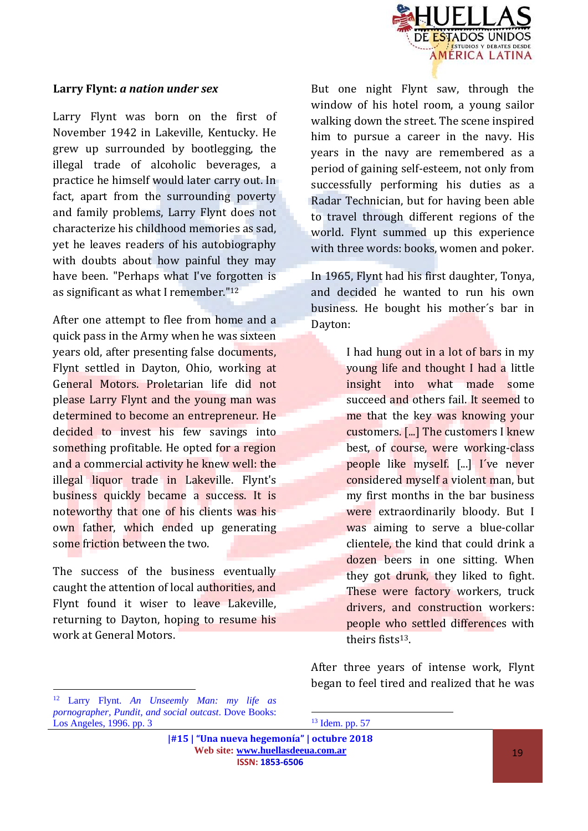

### **Larry Flynt:** *a nation under sex*

Larry Flynt was born on the first of November 1942 in Lakeville, Kentucky. He grew up surrounded by bootlegging, the illegal trade of alcoholic beverages, a practice he himself would later carry out. In fact, apart from the surrounding poverty and family problems, Larry Flynt does not characterize his childhood memories as sad, yet he leaves readers of his autobiography with doubts about how painful they may have been. "Perhaps what I've forgotten is as significant as what I remember."<sup>12</sup>

After one attempt to flee from home and a quick pass in the Army when he was sixteen years old, after presenting false documents, Flynt settled in Dayton, Ohio, working at General Motors. Proletarian life did not please Larry Flynt and the young man was determined to become an entrepreneur. He decided to invest his few savings into something profitable. He opted for a region and a commercial activity he knew well: the illegal liquor trade in Lakeville. Flynt's business quickly became a success. It is noteworthy that one of his clients was his own father, which ended up generating some friction between the two.

The success of the business eventually caught the attention of local authorities, and Flynt found it wiser to leave Lakeville, returning to Dayton, hoping to resume his work at General Motors.

But one night Flynt saw, through the window of his hotel room, a young sailor walking down the street. The scene inspired him to pursue a career in the navy. His years in the navy are remembered as a period of gaining self-esteem, not only from successfully performing his duties as a Radar Technician, but for having been able to travel through different regions of the world. Flynt summed up this experience with three words: books, women and poker.

In 1965, Flynt had his first daughter, Tonya, and decided he wanted to run his own business. He bought his mother´s bar in Dayton:

> I had hung out in a lot of bars in my young life and thought I had a little insight into what made some succeed and others fail. It seemed to me that the key was knowing your customers. [...] The customers I knew best, of course, were working-class people like myself. [...] I've never considered myself a violent man, but my first months in the bar business were extraordinarily bloody. But I was aiming to serve a blue-collar clientele, the kind that could drink a dozen beers in one sitting. When they got drunk, they liked to fight. These were factory workers, truck drivers, and construction workers: people who settled differences with theirs fists13.

After three years of intense work, Flynt began to feel tired and realized that he was

 $\overline{a}$ 

1

**|#15 | "Una nueva hegemonía" | octubre 2018 Web site: [www.huellasdeeua.com.ar](http://www.huellasdeeua.com.ar/) ISSN: 1853-6506** 

<sup>12</sup> Larry Flynt. *An Unseemly Man: my life as pornographer, Pundit, and social outcast*. Dove Books: Los Angeles, 1996. pp. 3

 $13$  Idem. pp. 57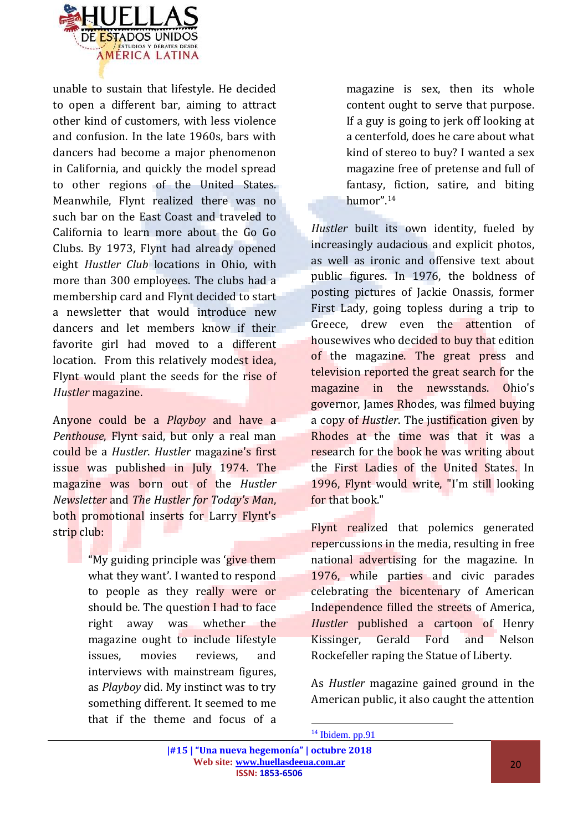

unable to sustain that lifestyle. He decided to open a different bar, aiming to attract other kind of customers, with less violence and confusion. In the late 1960s, bars with dancers had become a major phenomenon in California, and quickly the model spread to other regions of the United States. Meanwhile, Flynt realized there was no such bar on the East Coast and traveled to California to learn more about the Go Go Clubs. By 1973, Flynt had already opened eight *Hustler Club* locations in Ohio, with more than 300 employees. The clubs had a membership card and Flynt decided to start a newsletter that would introduce new dancers and let members know if their favorite girl had moved to a different location. From this relatively modest idea, Flynt would plant the seeds for the rise of *Hustler* magazine.

Anyone could be a *Playboy* and have a *Penthouse*, Flynt said, but only a real man could be a *Hustler*. *Hustler* magazine's first issue was published in July 1974. The magazine was born out of the *Hustler Newsletter* and *The Hustler for Today's Man*, both promotional inserts for Larry Flynt's strip club:

> "My guiding principle was 'give them what they want'. I wanted to respond to people as they really were or should be. The question I had to face right away was whether the magazine ought to include lifestyle issues, movies reviews, and interviews with mainstream figures, as *Playboy* did. My instinct was to try something different. It seemed to me that if the theme and focus of a

magazine is sex, then its whole content ought to serve that purpose. If a guy is going to jerk off looking at a centerfold, does he care about what kind of stereo to buy? I wanted a sex magazine free of pretense and full of fantasy, fiction, satire, and biting humor".<sup>14</sup>

*Hustler* built its own identity, fueled by increasingly audacious and explicit photos, as well as ironic and offensive text about public figures. In 1976, the boldness of posting pictures of Jackie Onassis, former First Lady, going topless during a trip to Greece, drew even the attention of housewives who decided to buy that edition of the magazine. The great press and television reported the great search for the magazine in the newsstands. Ohio's governor, James Rhodes, was filmed buying a copy of *Hustler*. The justification given by Rhodes at the time was that it was a research for the book he was writing about the First Ladies of the United States. In 1996, Flynt would write, "I'm still looking for that book."

Flynt realized that polemics generated repercussions in the media, resulting in free national advertising for the magazine. In 1976, while parties and civic parades celebrating the bicentenary of American Independence filled the streets of America, *Hustler* published a cartoon of Henry Kissinger, Gerald Ford and Nelson Rockefeller raping the Statue of Liberty.

As *Hustler* magazine gained ground in the American public, it also caught the attention

 $14$  Ibidem. pp.91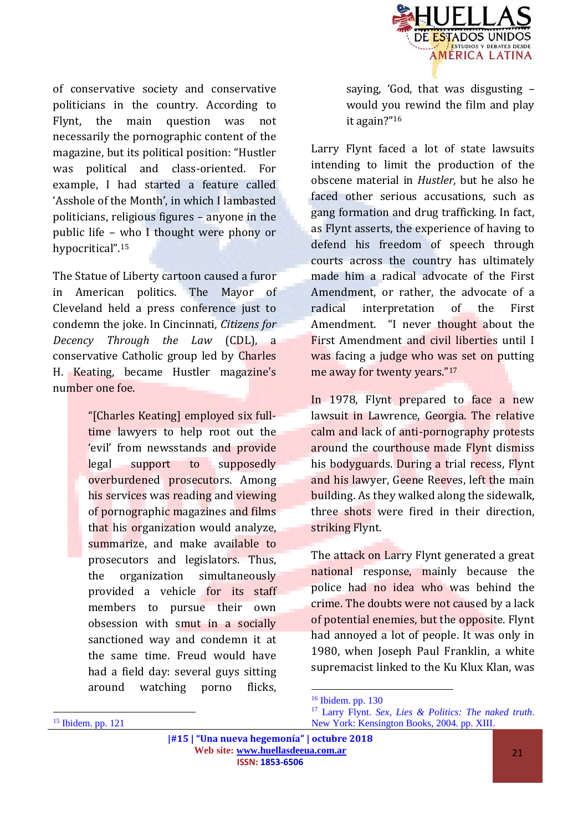

of conservative society and conservative politicians in the country. According to Flynt, the main question was not necessarily the pornographic content of the magazine, but its political position: "Hustler was political and class-oriented. For example, I had started a feature called 'Asshole of the Month', in which I lambasted politicians, religious figures – anyone in the public life – who I thought were phony or hypocritical".<sup>15</sup>

The Statue of Liberty cartoon caused a furor in American politics. The Mayor of Cleveland held a press conference just to condemn the joke. In Cincinnati, *Citizens for Decency Through the Law* (CDL), a conservative Catholic group led by Charles H. Keating, became Hustler magazine's number one foe.

> "[Charles Keating] employed six fulltime lawyers to help root out the 'evil' from newsstands and provide legal support to supposedly overburdened prosecutors. Among his services was reading and viewing of pornographic magazines and films that his organization would analyze, summarize, and make available to prosecutors and legislators. Thus, the organization simultaneously provided a vehicle for its staff members to pursue their own obsession with smut in a socially sanctioned way and condemn it at the same time. Freud would have had a field day: several guys sitting around watching porno flicks,

saying, 'God, that was disgusting – would you rewind the film and play it again?"<sup>16</sup>

Larry Flynt faced a lot of state lawsuits intending to limit the production of the obscene material in *Hustler*, but he also he faced other serious accusations, such as gang formation and drug trafficking. In fact, as Flynt asserts, the experience of having to defend his freedom of speech through courts across the country has ultimately made him a radical advocate of the First Amendment, or rather, the advocate of a radical interpretation of the First Amendment. "I never thought about the First Amendment and civil liberties until I was facing a judge who was set on putting me away for twenty years."<sup>17</sup>

In 1978, Flynt prepared to face a new lawsuit in Lawrence, Georgia. The relative calm and lack of anti-pornography protests around the courthouse made Flynt dismiss his bodyguards. During a trial recess, Flynt and his lawyer, Geene Reeves, left the main building. As they walked along the sidewalk, three shots were fired in their direction, striking Flynt.

The attack on Larry Flynt generated a great national response, mainly because the police had no idea who was behind the crime. The doubts were not caused by a lack of potential enemies, but the opposite. Flynt had annoyed a lot of people. It was only in 1980, when Joseph Paul Franklin, a white supremacist linked to the Ku Klux Klan, was

<sup>1</sup> <sup>16</sup> Ibidem. pp. 130

<sup>17</sup> Larry Flynt. *Sex, Lies & Politics: The naked truth*. New York: Kensington Books, 2004. pp. XIII.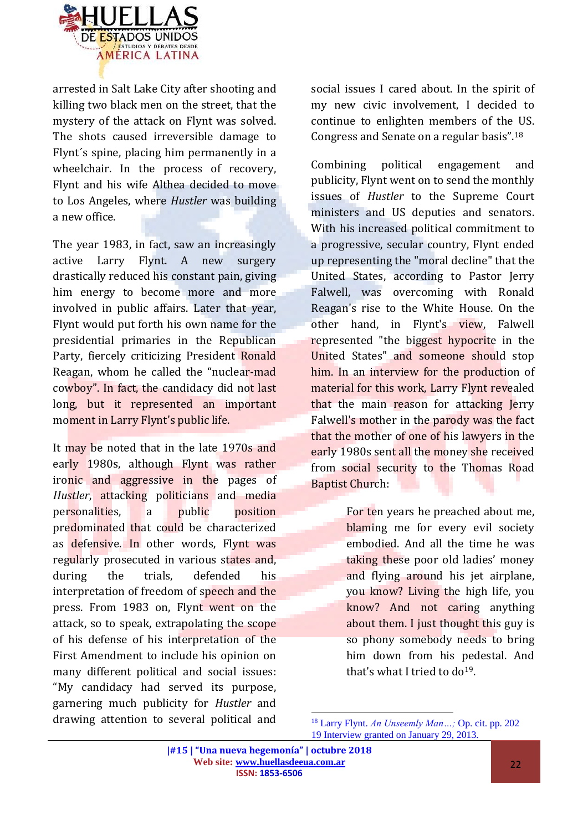

arrested in Salt Lake City after shooting and killing two black men on the street, that the mystery of the attack on Flynt was solved. The shots caused irreversible damage to Flynt´s spine, placing him permanently in a wheelchair. In the process of recovery, Flynt and his wife Althea decided to move to Los Angeles, where *Hustler* was building a new office.

The year 1983, in fact, saw an increasingly active Larry Flynt. A new surgery drastically reduced his constant pain, giving him energy to become more and more involved in public affairs. Later that year, Flynt would put forth his own name for the presidential primaries in the Republican Party, fiercely criticizing President Ronald Reagan, whom he called the "nuclear-mad cowboy". In fact, the candidacy did not last long, but it represented an important moment in Larry Flynt's public life.

It may be noted that in the late 1970s and early 1980s, although Flynt was rather ironic and aggressive in the pages of *Hustler*, attacking politicians and media personalities, a public position predominated that could be characterized as defensive. In other words, Flynt was regularly prosecuted in various states and, during the trials, defended his interpretation of freedom of speech and the press. From 1983 on, Flynt went on the attack, so to speak, extrapolating the scope of his defense of his interpretation of the First Amendment to include his opinion on many different political and social issues: "My candidacy had served its purpose, garnering much publicity for *Hustler* and drawing attention to several political and

social issues I cared about. In the spirit of my new civic involvement, I decided to continue to enlighten members of the US. Congress and Senate on a regular basis".<sup>18</sup>

Combining political engagement and publicity, Flynt went on to send the monthly issues of *Hustler* to the Supreme Court ministers and US deputies and senators. With his increased political commitment to a progressive, secular country, Flynt ended up representing the "moral decline" that the United States, according to Pastor Jerry Falwell, was overcoming with Ronald Reagan's rise to the White House. On the other hand, in Flynt's view, Falwell represented "the biggest hypocrite in the United States" and someone should stop him. In an interview for the production of material for this work, Larry Flynt revealed that the main reason for attacking Jerry Falwell's mother in the parody was the fact that the mother of one of his lawyers in the early 1980s sent all the money she received from social security to the Thomas Road Baptist Church:

> For ten years he preached about me, blaming me for every evil society embodied. And all the time he was taking these poor old ladies' money and flying around his jet airplane, you know? Living the high life, you know? And not caring anything about them. I just thought this guy is so phony somebody needs to bring him down from his pedestal. And that's what I tried to  $d_0$ <sup>19</sup>.

<sup>18</sup> Larry Flynt. *An Unseemly Man…;* Op. cit. pp. 202 19 Interview granted on January 29, 2013.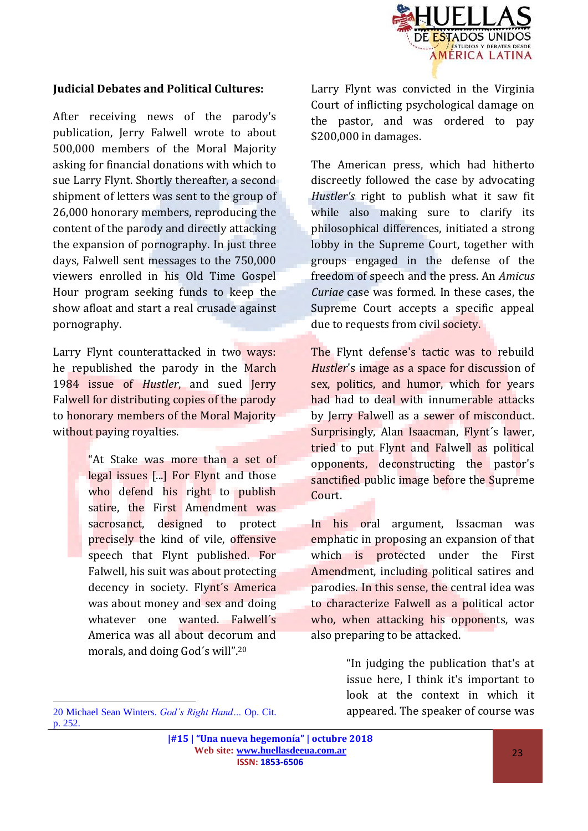

# **Judicial Debates and Political Cultures:**

After receiving news of the parody's publication, Jerry Falwell wrote to about 500,000 members of the Moral Majority asking for financial donations with which to sue Larry Flynt. Shortly thereafter, a second shipment of letters was sent to the group of 26,000 honorary members, reproducing the content of the parody and directly attacking the expansion of pornography. In just three days, Falwell sent messages to the 750,000 viewers enrolled in his Old Time Gospel Hour program seeking funds to keep the show afloat and start a real crusade against pornography.

Larry Flynt counterattacked in two ways: he republished the parody in the March 1984 issue of *Hustler*, and sued Jerry Falwell for distributing copies of the parody to honorary members of the Moral Majority without paying royalties.

> "At Stake was more than a set of legal issues [...] For Flynt and those who defend his right to publish satire, the First Amendment was sacrosanct, designed to protect precisely the kind of vile, offensive speech that Flynt published. For Falwell, his suit was about protecting decency in society. Flynt´s America was about money and sex and doing whatever one wanted. Falwell's America was all about decorum and morals, and doing God´s will".<sup>20</sup>

Larry Flynt was convicted in the Virginia Court of inflicting psychological damage on the pastor, and was ordered to pay \$200,000 in damages.

The American press, which had hitherto discreetly followed the case by advocating *Hustler's* right to publish what it saw fit while also making sure to clarify its philosophical differences, initiated a strong lobby in the Supreme Court, together with groups engaged in the defense of the freedom of speech and the press. An *Amicus Curiae* case was formed. In these cases, the Supreme Court accepts a specific appeal due to requests from civil society.

The Flynt defense's tactic was to rebuild *Hustler*'s image as a space for discussion of sex, politics, and humor, which for years had had to deal with innumerable attacks by Jerry Falwell as a sewer of misconduct. Surprisingly, Alan Isaacman, Flynt´s lawer, tried to put Flynt and Falwell as political opponents, deconstructing the pastor's sanctified public image before the Supreme Court.

In his oral argument, Issacman was emphatic in proposing an expansion of that which is protected under the First Amendment, including political satires and parodies. In this sense, the central idea was to characterize Falwell as a political actor who, when attacking his opponents, was also preparing to be attacked.

> "In judging the publication that's at issue here, I think it's important to look at the context in which it appeared. The speaker of course was

 $\ddot{\phantom{a}}$ 

<sup>20</sup> Michael Sean Winters. *God´s Right Hand…* Op. Cit. p. 252.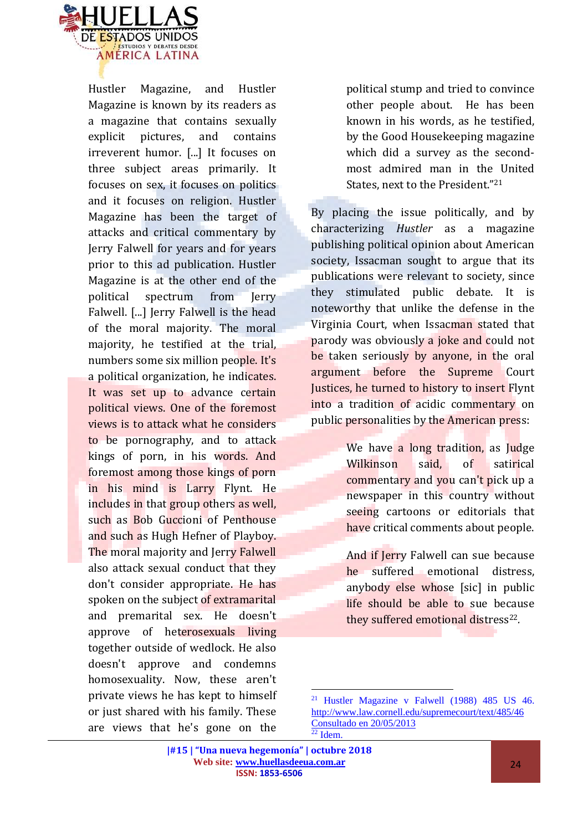

Hustler Magazine, and Hustler Magazine is known by its readers as a magazine that contains sexually explicit pictures, and contains irreverent humor. [...] It focuses on three subject areas primarily. It focuses on sex, it focuses on politics and it focuses on religion. Hustler Magazine has been the target of attacks and critical commentary by Jerry Falwell for years and for years prior to this ad publication. Hustler Magazine is at the other end of the political spectrum from Jerry Falwell. [...] Jerry Falwell is the head of the moral majority. The moral majority, he testified at the trial, numbers some six million people. It's a political organization, he indicates. It was set up to advance certain political views. One of the foremost views is to attack what he considers to be pornography, and to attack kings of porn, in his words. And foremost among those kings of porn in his mind is Larry Flynt. He includes in that group others as well, such as Bob Guccioni of Penthouse and such as Hugh Hefner of Playboy. The moral majority and Jerry Falwell also attack sexual conduct that they don't consider appropriate. He has spoken on the subject of extramarital and premarital sex. He doesn't approve of heterosexuals living together outside of wedlock. He also doesn't approve and condemns homosexuality. Now, these aren't private views he has kept to himself or just shared with his family. These are views that he's gone on the

political stump and tried to convince other people about. He has been known in his words, as he testified, by the Good Housekeeping magazine which did a survey as the secondmost admired man in the United States, next to the President."<sup>21</sup>

By placing the issue politically, and by characterizing *Hustler* as a magazine publishing political opinion about American society, Issacman sought to argue that its publications were relevant to society, since they stimulated public debate. It is noteworthy that unlike the defense in the Virginia Court, when Issacman stated that parody was obviously a joke and could not be taken seriously by anyone, in the oral argument before the Supreme Court Justices, he turned to history to insert Flynt into a tradition of acidic commentary on public personalities by the American press:

> We have a long tradition, as Judge Wilkinson said, of satirical commentary and you can't pick up a newspaper in this country without seeing cartoons or editorials that have critical comments about people.

> And if Jerry Falwell can sue because he suffered emotional distress, anybody else whose [sic] in public life should be able to sue because they suffered emotional distress<sup>22</sup>.

<sup>21</sup> Hustler Magazine v Falwell (1988) 485 US 46. <http://www.law.cornell.edu/supremecourt/text/485/46> Consultado en 20/05/2013  $22$  Idem.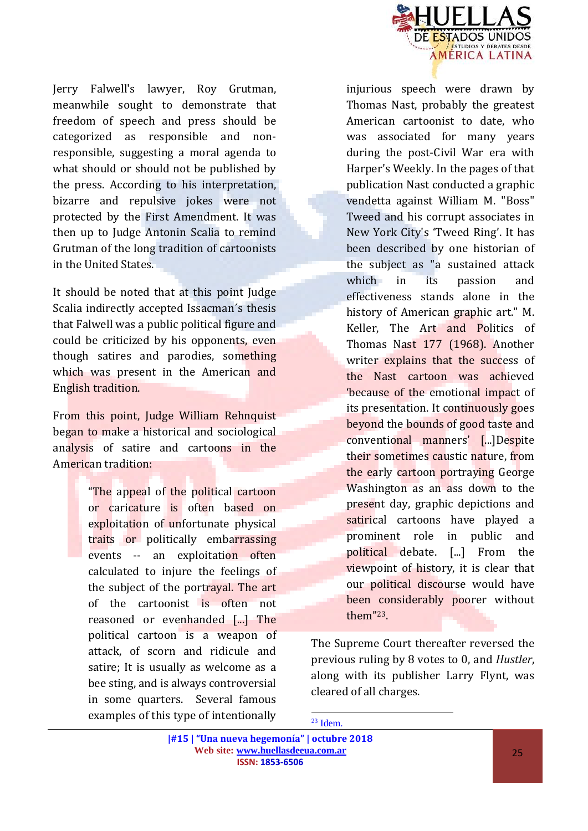

Jerry Falwell's lawyer, Roy Grutman, meanwhile sought to demonstrate that freedom of speech and press should be categorized as responsible and nonresponsible, suggesting a moral agenda to what should or should not be published by the press. According to his interpretation, bizarre and repulsive jokes were not protected by the First Amendment. It was then up to Judge Antonin Scalia to remind Grutman of the long tradition of cartoonists in the United States.

It should be noted that at this point Judge Scalia indirectly accepted Issacman´s thesis that Falwell was a public political figure and could be criticized by his opponents, even though satires and parodies, something which was present in the American and English tradition.

From this point, Judge William Rehnquist began to make a historical and sociological analysis of satire and cartoons in the American tradition:

> "The appeal of the political cartoon or caricature is often based on exploitation of unfortunate physical traits or politically embarrassing events -- an exploitation often calculated to injure the feelings of the subject of the portrayal. The art of the cartoonist is often not reasoned or evenhanded [...] The political cartoon is a weapon of attack, of scorn and ridicule and satire; It is usually as welcome as a bee sting, and is always controversial in some quarters. Several famous examples of this type of intentionally

injurious speech were drawn by Thomas Nast, probably the greatest American cartoonist to date, who was associated for many years during the post-Civil War era with Harper's Weekly. In the pages of that publication Nast conducted a graphic vendetta against William M. "Boss" Tweed and his corrupt associates in New York City's 'Tweed Ring'. It has been described by one historian of the subject as "a sustained attack which in its passion and effectiveness stands alone in the history of American graphic art." M. Keller, The Art and Politics of Thomas Nast 177 (1968). Another writer explains that the success of the Nast cartoon was achieved 'because of the emotional impact of its presentation. It continuously goes beyond the bounds of good taste and conventional manners' [...]Despite their sometimes caustic nature, from the early cartoon portraying George Washington as an ass down to the present day, graphic depictions and satirical cartoons have played a prominent role in public and political debate. [...] From the viewpoint of history, it is clear that our political discourse would have been considerably poorer without them"23.

The Supreme Court thereafter reversed the previous ruling by 8 votes to 0, and *Hustler*, along with its publisher Larry Flynt, was cleared of all charges.

<sup>23</sup> Idem.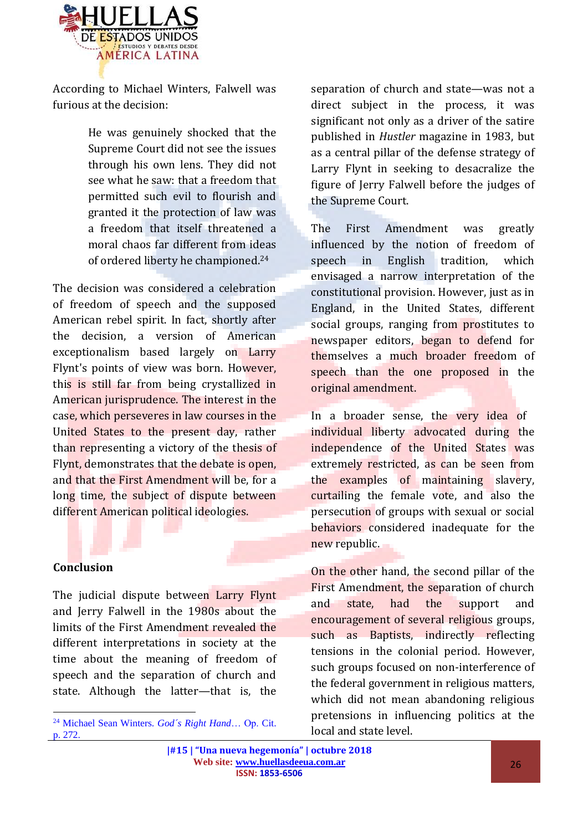![](_page_14_Picture_0.jpeg)

According to Michael Winters, Falwell was furious at the decision:

> He was genuinely shocked that the Supreme Court did not see the issues through his own lens. They did not see what he saw: that a freedom that permitted such evil to flourish and granted it the protection of law was a freedom that itself threatened a moral chaos far different from ideas of ordered liberty he championed.<sup>24</sup>

The decision was considered a celebration of freedom of speech and the supposed American rebel spirit. In fact, shortly after the decision, a version of American exceptionalism based largely on Larry Flynt's points of view was born. However, this is still far from being crystallized in American jurisprudence. The interest in the case, which perseveres in law courses in the United States to the present day, rather than representing a victory of the thesis of Flynt, demonstrates that the debate is open, and that the First Amendment will be, for a long time, the subject of dispute between different American political ideologies.

## **Conclusion**

 $\overline{a}$ 

The judicial dispute between Larry Flynt and Jerry Falwell in the 1980s about the limits of the First Amendment revealed the different interpretations in society at the time about the meaning of freedom of speech and the separation of church and state. Although the latter—that is, the

separation of church and state—was not a direct subject in the process, it was significant not only as a driver of the satire published in *Hustler* magazine in 1983, but as a central pillar of the defense strategy of Larry Flynt in seeking to desacralize the figure of Jerry Falwell before the judges of the Supreme Court.

The First Amendment was greatly influenced by the notion of freedom of speech in English tradition, which envisaged a narrow interpretation of the constitutional provision. However, just as in England, in the United States, different social groups, ranging from prostitutes to newspaper editors, began to defend for themselves a much broader freedom of speech than the one proposed in the original amendment.

In a broader sense, the very idea of individual liberty advocated during the independence of the United States was extremely restricted, as can be seen from the examples of maintaining slavery, curtailing the female vote, and also the persecution of groups with sexual or social behaviors considered inadequate for the new republic.

On the other hand, the second pillar of the First Amendment, the separation of church and state, had the support and encouragement of several religious groups, such as Baptists, indirectly reflecting tensions in the colonial period. However, such groups focused on non-interference of the federal government in religious matters, which did not mean abandoning religious pretensions in influencing politics at the local and state level.

**|#15 | "Una nueva hegemonía" | octubre 2018 Web site[: www.huellasdeeua.com.ar](http://www.huellasdeeua.com.ar/) ISSN: 1853-6506** 

<sup>24</sup> Michael Sean Winters. *God´s Right Hand*… Op. Cit. p. 272.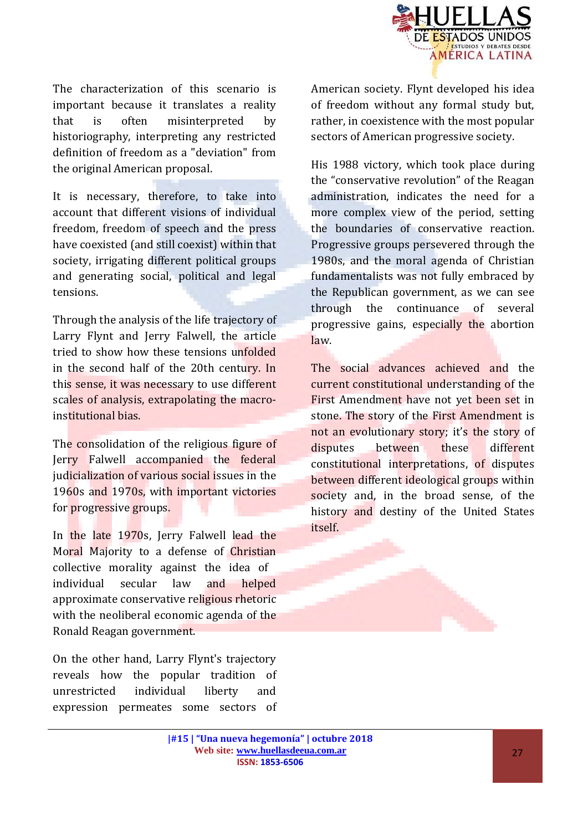![](_page_15_Picture_0.jpeg)

The characterization of this scenario is important because it translates a reality that is often misinterpreted by historiography, interpreting any restricted definition of freedom as a "deviation" from the original American proposal.

It is necessary, therefore, to take into account that different visions of individual freedom, freedom of speech and the press have coexisted (and still coexist) within that society, irrigating different political groups and generating social, political and legal tensions.

Through the analysis of the life trajectory of Larry Flynt and Jerry Falwell, the article tried to show how these tensions unfolded in the second half of the 20th century. In this sense, it was necessary to use different scales of analysis, extrapolating the macroinstitutional bias.

The consolidation of the religious figure of Jerry Falwell accompanied the federal judicialization of various social issues in the 1960s and 1970s, with important victories for progressive groups.

In the late 1970s, Jerry Falwell lead the Moral Majority to a defense of Christian collective morality against the idea of individual secular law and helped approximate conservative religious rhetoric with the neoliberal economic agenda of the Ronald Reagan government.

On the other hand, Larry Flynt's trajectory reveals how the popular tradition of unrestricted individual liberty and expression permeates some sectors of American society. Flynt developed his idea of freedom without any formal study but, rather, in coexistence with the most popular sectors of American progressive society.

His 1988 victory, which took place during the "conservative revolution" of the Reagan administration, indicates the need for a more complex view of the period, setting the boundaries of conservative reaction. Progressive groups persevered through the 1980s, and the moral agenda of Christian fundamentalists was not fully embraced by the Republican government, as we can see through the continuance of several progressive gains, especially the abortion law.

The social advances achieved and the current constitutional understanding of the First Amendment have not yet been set in stone. The story of the First Amendment is not an evolutionary story; it's the story of disputes between these different constitutional interpretations, of disputes between different ideological groups within society and, in the broad sense, of the history and destiny of the United States itself.